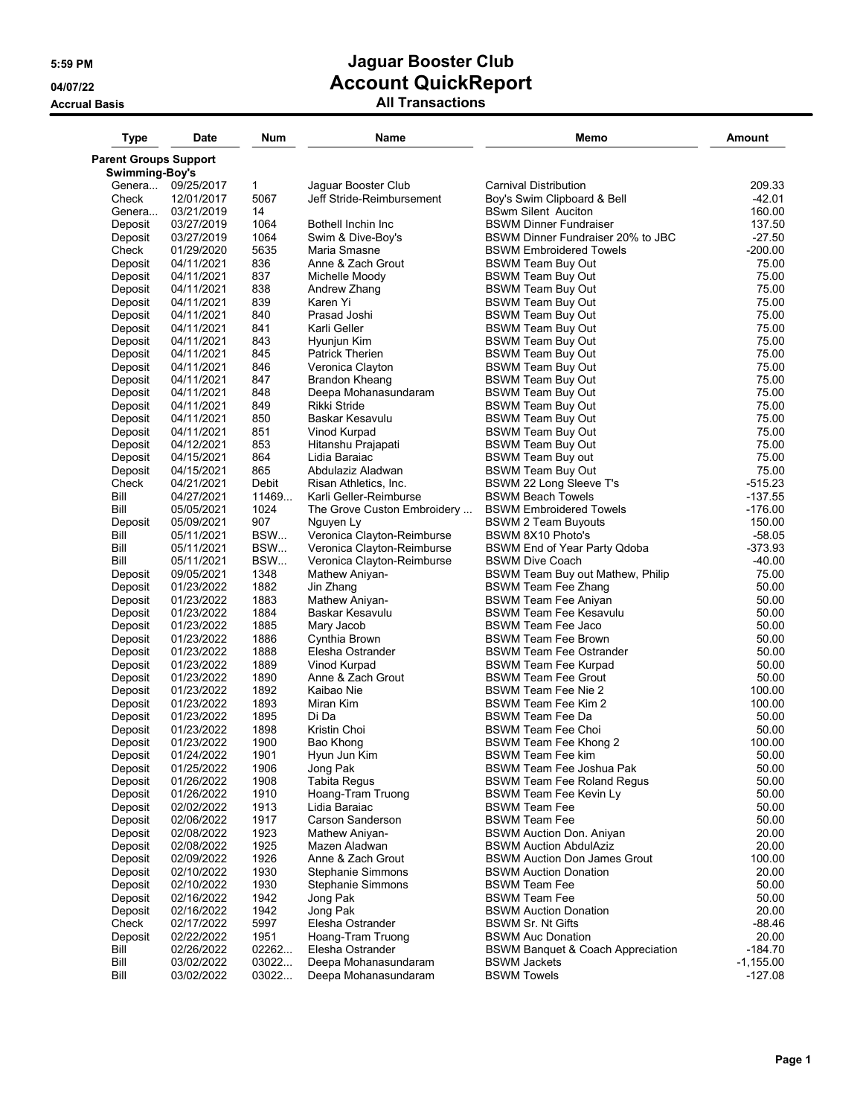## **5:59 PM Jaguar Booster Club 04/07/22 Account QuickReport**

## **Accrual Basis All Transactions**

| <b>Parent Groups Support</b><br>Swimming-Boy's<br>Genera 09/25/2017<br>$\mathbf{1}$<br>Jaguar Booster Club<br>Carnival Distribution<br>209.33<br>Jeff Stride-Reimbursement<br>$-42.01$<br>Check<br>12/01/2017<br>5067<br>Boy's Swim Clipboard & Bell<br>160.00<br>Genera<br>03/21/2019<br>14<br><b>BSwm Silent Auciton</b><br>Deposit<br>1064<br>137.50<br>03/27/2019<br>Bothell Inchin Inc<br><b>BSWM Dinner Fundraiser</b><br>1064<br>$-27.50$<br>03/27/2019<br>Swim & Dive-Boy's<br>BSWM Dinner Fundraiser 20% to JBC<br>Deposit<br>5635<br>$-200.00$<br>Check<br>01/29/2020<br>Maria Smasne<br><b>BSWM Embroidered Towels</b><br>836<br>75.00<br>04/11/2021<br>Anne & Zach Grout<br><b>BSWM Team Buy Out</b><br>Deposit<br>837<br>Deposit<br><b>BSWM Team Buy Out</b><br>75.00<br>04/11/2021<br>Michelle Moody<br>838<br>75.00<br>Deposit<br><b>BSWM Team Buy Out</b><br>04/11/2021<br>Andrew Zhang<br>839<br>Deposit<br>Karen Yi<br><b>BSWM Team Buy Out</b><br>75.00<br>04/11/2021<br>840<br>75.00<br>Deposit<br>Prasad Joshi<br><b>BSWM Team Buy Out</b><br>04/11/2021<br>841<br>Deposit<br>04/11/2021<br>Karli Geller<br><b>BSWM Team Buy Out</b><br>Deposit<br>843<br>04/11/2021<br>Hyunjun Kim<br><b>BSWM Team Buy Out</b><br>845<br>Deposit<br>04/11/2021<br><b>Patrick Therien</b><br><b>BSWM Team Buy Out</b><br>Deposit<br>04/11/2021<br>846<br><b>BSWM Team Buy Out</b><br>Veronica Clayton<br>847<br>Deposit<br>04/11/2021<br>Brandon Kheang<br><b>BSWM Team Buy Out</b><br>Deposit<br>04/11/2021<br>848<br>Deepa Mohanasundaram<br><b>BSWM Team Buy Out</b><br>849<br>Rikki Stride<br>Deposit<br>04/11/2021<br><b>BSWM Team Buy Out</b><br>850<br>Deposit<br>04/11/2021<br>Baskar Kesavulu<br><b>BSWM Team Buy Out</b><br>851<br>Deposit<br>04/11/2021<br>Vinod Kurpad<br><b>BSWM Team Buy Out</b><br>853<br>Deposit<br>04/12/2021<br>Hitanshu Prajapati<br><b>BSWM Team Buy Out</b><br>864<br>Deposit<br>04/15/2021<br>Lidia Baraiac<br><b>BSWM Team Buy out</b><br>865<br>Deposit<br>04/15/2021<br><b>BSWM Team Buy Out</b><br>Abdulaziz Aladwan<br>$-515.23$<br>Check<br>04/21/2021<br>Debit<br>BSWM 22 Long Sleeve T's<br>Risan Athletics, Inc.<br>Bill<br>04/27/2021<br>11469<br><b>BSWM Beach Towels</b><br>Karli Geller-Reimburse<br>Bill<br>1024<br>$-176.00$<br>05/05/2021<br>The Grove Custon Embroidery<br><b>BSWM Embroidered Towels</b><br>907<br>150.00<br>Nguyen Ly<br>Deposit<br>05/09/2021<br><b>BSWM 2 Team Buyouts</b><br>Bill<br>BSW<br>Veronica Clayton-Reimburse<br>$-58.05$<br>05/11/2021<br>BSWM 8X10 Photo's<br>Bill<br>BSW<br>$-373.93$<br>05/11/2021<br>Veronica Clayton-Reimburse<br>BSWM End of Year Party Qdoba<br>Bill<br>05/11/2021<br>BSW<br>Veronica Clayton-Reimburse<br>$-40.00$<br><b>BSWM Dive Coach</b><br>1348<br>BSWM Team Buy out Mathew, Philip<br>75.00<br>Deposit<br>09/05/2021<br>Mathew Aniyan-<br>1882<br>Deposit<br>01/23/2022<br>Jin Zhang<br><b>BSWM Team Fee Zhang</b><br>50.00<br>Deposit<br>01/23/2022<br>1883<br>Mathew Aniyan-<br><b>BSWM Team Fee Aniyan</b><br>50.00<br>1884<br>50.00<br>Deposit<br>01/23/2022<br>Baskar Kesavulu<br><b>BSWM Team Fee Kesavulu</b><br>1885<br>50.00<br>Deposit<br>01/23/2022<br>Mary Jacob<br>BSWM Team Fee Jaco<br>Deposit<br>1886<br>Cynthia Brown<br>01/23/2022<br><b>BSWM Team Fee Brown</b><br>50.00<br>Deposit<br>01/23/2022<br>1888<br>Elesha Ostrander<br><b>BSWM Team Fee Ostrander</b><br>Deposit<br>01/23/2022<br>1889<br>Vinod Kurpad<br><b>BSWM Team Fee Kurpad</b><br>1890<br>Anne & Zach Grout<br>Deposit<br>01/23/2022<br><b>BSWM Team Fee Grout</b><br>1892<br>Deposit<br>01/23/2022<br>Kaibao Nie<br><b>BSWM Team Fee Nie 2</b><br>1893<br>01/23/2022<br>Miran Kim<br><b>BSWM Team Fee Kim 2</b><br>Deposit<br>01/23/2022<br>1895<br>Di Da<br><b>BSWM Team Fee Da</b><br>Deposit<br>01/23/2022<br>1898<br>Kristin Choi<br><b>BSWM Team Fee Choi</b><br>Deposit<br>1900<br>Deposit<br>01/23/2022<br>Bao Khong<br>BSWM Team Fee Khong 2<br>1901<br>Deposit<br>01/24/2022<br>Hyun Jun Kim<br><b>BSWM Team Fee kim</b><br>Deposit<br>1906<br>Jong Pak<br>BSWM Team Fee Joshua Pak<br>01/25/2022<br>Deposit<br>01/26/2022<br>1908<br><b>Tabita Regus</b><br><b>BSWM Team Fee Roland Requs</b><br>Deposit<br>1910<br>Hoang-Tram Truong<br>50.00<br>01/26/2022<br>BSWM Team Fee Kevin Ly<br>Deposit<br>02/02/2022<br>1913<br>Lidia Baraiac<br><b>BSWM Team Fee</b><br>50.00<br>Deposit<br>02/06/2022<br>1917<br>Carson Sanderson<br><b>BSWM Team Fee</b><br>50.00<br>20.00<br>Deposit<br>02/08/2022<br>1923<br><b>BSWM Auction Don. Aniyan</b><br>Mathew Aniyan-<br>1925<br>20.00<br>Deposit<br>Mazen Aladwan<br><b>BSWM Auction AbdulAziz</b><br>02/08/2022<br>Deposit<br>02/09/2022<br>1926<br>Anne & Zach Grout<br><b>BSWM Auction Don James Grout</b><br>100.00<br>Deposit<br>1930<br>20.00<br>02/10/2022<br>Stephanie Simmons<br><b>BSWM Auction Donation</b><br>Deposit<br>02/10/2022<br>1930<br><b>Stephanie Simmons</b><br><b>BSWM Team Fee</b><br>50.00<br>Deposit<br>1942<br>Jong Pak<br>50.00<br>02/16/2022<br>BSWM Team Fee<br>1942<br>20.00<br>Deposit<br>Jong Pak<br><b>BSWM Auction Donation</b><br>02/16/2022 | <b>Type</b> | <b>Date</b> | <b>Num</b> | Name             | Memo                     | Amount      |
|-----------------------------------------------------------------------------------------------------------------------------------------------------------------------------------------------------------------------------------------------------------------------------------------------------------------------------------------------------------------------------------------------------------------------------------------------------------------------------------------------------------------------------------------------------------------------------------------------------------------------------------------------------------------------------------------------------------------------------------------------------------------------------------------------------------------------------------------------------------------------------------------------------------------------------------------------------------------------------------------------------------------------------------------------------------------------------------------------------------------------------------------------------------------------------------------------------------------------------------------------------------------------------------------------------------------------------------------------------------------------------------------------------------------------------------------------------------------------------------------------------------------------------------------------------------------------------------------------------------------------------------------------------------------------------------------------------------------------------------------------------------------------------------------------------------------------------------------------------------------------------------------------------------------------------------------------------------------------------------------------------------------------------------------------------------------------------------------------------------------------------------------------------------------------------------------------------------------------------------------------------------------------------------------------------------------------------------------------------------------------------------------------------------------------------------------------------------------------------------------------------------------------------------------------------------------------------------------------------------------------------------------------------------------------------------------------------------------------------------------------------------------------------------------------------------------------------------------------------------------------------------------------------------------------------------------------------------------------------------------------------------------------------------------------------------------------------------------------------------------------------------------------------------------------------------------------------------------------------------------------------------------------------------------------------------------------------------------------------------------------------------------------------------------------------------------------------------------------------------------------------------------------------------------------------------------------------------------------------------------------------------------------------------------------------------------------------------------------------------------------------------------------------------------------------------------------------------------------------------------------------------------------------------------------------------------------------------------------------------------------------------------------------------------------------------------------------------------------------------------------------------------------------------------------------------------------------------------------------------------------------------------------------------------------------------------------------------------------------------------------------------------------------------------------------------------------------------------------------------------------------------------------------------------------------------------------------------------------------------------------------------------------------------------------------------------------------------------------------------------------------------------------------------------------------------------------------------------------------------------------------------------------------------------------------------------------------------------------------------------------------------------------------------------------------------------------------------------------------------------------------------------------------|-------------|-------------|------------|------------------|--------------------------|-------------|
|                                                                                                                                                                                                                                                                                                                                                                                                                                                                                                                                                                                                                                                                                                                                                                                                                                                                                                                                                                                                                                                                                                                                                                                                                                                                                                                                                                                                                                                                                                                                                                                                                                                                                                                                                                                                                                                                                                                                                                                                                                                                                                                                                                                                                                                                                                                                                                                                                                                                                                                                                                                                                                                                                                                                                                                                                                                                                                                                                                                                                                                                                                                                                                                                                                                                                                                                                                                                                                                                                                                                                                                                                                                                                                                                                                                                                                                                                                                                                                                                                                                                                                                                                                                                                                                                                                                                                                                                                                                                                                                                                                                                                                                                                                                                                                                                                                                                                                                                                                                                                                                                                                                                                     |             |             |            |                  |                          |             |
|                                                                                                                                                                                                                                                                                                                                                                                                                                                                                                                                                                                                                                                                                                                                                                                                                                                                                                                                                                                                                                                                                                                                                                                                                                                                                                                                                                                                                                                                                                                                                                                                                                                                                                                                                                                                                                                                                                                                                                                                                                                                                                                                                                                                                                                                                                                                                                                                                                                                                                                                                                                                                                                                                                                                                                                                                                                                                                                                                                                                                                                                                                                                                                                                                                                                                                                                                                                                                                                                                                                                                                                                                                                                                                                                                                                                                                                                                                                                                                                                                                                                                                                                                                                                                                                                                                                                                                                                                                                                                                                                                                                                                                                                                                                                                                                                                                                                                                                                                                                                                                                                                                                                                     |             |             |            |                  |                          |             |
|                                                                                                                                                                                                                                                                                                                                                                                                                                                                                                                                                                                                                                                                                                                                                                                                                                                                                                                                                                                                                                                                                                                                                                                                                                                                                                                                                                                                                                                                                                                                                                                                                                                                                                                                                                                                                                                                                                                                                                                                                                                                                                                                                                                                                                                                                                                                                                                                                                                                                                                                                                                                                                                                                                                                                                                                                                                                                                                                                                                                                                                                                                                                                                                                                                                                                                                                                                                                                                                                                                                                                                                                                                                                                                                                                                                                                                                                                                                                                                                                                                                                                                                                                                                                                                                                                                                                                                                                                                                                                                                                                                                                                                                                                                                                                                                                                                                                                                                                                                                                                                                                                                                                                     |             |             |            |                  |                          |             |
|                                                                                                                                                                                                                                                                                                                                                                                                                                                                                                                                                                                                                                                                                                                                                                                                                                                                                                                                                                                                                                                                                                                                                                                                                                                                                                                                                                                                                                                                                                                                                                                                                                                                                                                                                                                                                                                                                                                                                                                                                                                                                                                                                                                                                                                                                                                                                                                                                                                                                                                                                                                                                                                                                                                                                                                                                                                                                                                                                                                                                                                                                                                                                                                                                                                                                                                                                                                                                                                                                                                                                                                                                                                                                                                                                                                                                                                                                                                                                                                                                                                                                                                                                                                                                                                                                                                                                                                                                                                                                                                                                                                                                                                                                                                                                                                                                                                                                                                                                                                                                                                                                                                                                     |             |             |            |                  |                          |             |
|                                                                                                                                                                                                                                                                                                                                                                                                                                                                                                                                                                                                                                                                                                                                                                                                                                                                                                                                                                                                                                                                                                                                                                                                                                                                                                                                                                                                                                                                                                                                                                                                                                                                                                                                                                                                                                                                                                                                                                                                                                                                                                                                                                                                                                                                                                                                                                                                                                                                                                                                                                                                                                                                                                                                                                                                                                                                                                                                                                                                                                                                                                                                                                                                                                                                                                                                                                                                                                                                                                                                                                                                                                                                                                                                                                                                                                                                                                                                                                                                                                                                                                                                                                                                                                                                                                                                                                                                                                                                                                                                                                                                                                                                                                                                                                                                                                                                                                                                                                                                                                                                                                                                                     |             |             |            |                  |                          |             |
|                                                                                                                                                                                                                                                                                                                                                                                                                                                                                                                                                                                                                                                                                                                                                                                                                                                                                                                                                                                                                                                                                                                                                                                                                                                                                                                                                                                                                                                                                                                                                                                                                                                                                                                                                                                                                                                                                                                                                                                                                                                                                                                                                                                                                                                                                                                                                                                                                                                                                                                                                                                                                                                                                                                                                                                                                                                                                                                                                                                                                                                                                                                                                                                                                                                                                                                                                                                                                                                                                                                                                                                                                                                                                                                                                                                                                                                                                                                                                                                                                                                                                                                                                                                                                                                                                                                                                                                                                                                                                                                                                                                                                                                                                                                                                                                                                                                                                                                                                                                                                                                                                                                                                     |             |             |            |                  |                          |             |
|                                                                                                                                                                                                                                                                                                                                                                                                                                                                                                                                                                                                                                                                                                                                                                                                                                                                                                                                                                                                                                                                                                                                                                                                                                                                                                                                                                                                                                                                                                                                                                                                                                                                                                                                                                                                                                                                                                                                                                                                                                                                                                                                                                                                                                                                                                                                                                                                                                                                                                                                                                                                                                                                                                                                                                                                                                                                                                                                                                                                                                                                                                                                                                                                                                                                                                                                                                                                                                                                                                                                                                                                                                                                                                                                                                                                                                                                                                                                                                                                                                                                                                                                                                                                                                                                                                                                                                                                                                                                                                                                                                                                                                                                                                                                                                                                                                                                                                                                                                                                                                                                                                                                                     |             |             |            |                  |                          |             |
|                                                                                                                                                                                                                                                                                                                                                                                                                                                                                                                                                                                                                                                                                                                                                                                                                                                                                                                                                                                                                                                                                                                                                                                                                                                                                                                                                                                                                                                                                                                                                                                                                                                                                                                                                                                                                                                                                                                                                                                                                                                                                                                                                                                                                                                                                                                                                                                                                                                                                                                                                                                                                                                                                                                                                                                                                                                                                                                                                                                                                                                                                                                                                                                                                                                                                                                                                                                                                                                                                                                                                                                                                                                                                                                                                                                                                                                                                                                                                                                                                                                                                                                                                                                                                                                                                                                                                                                                                                                                                                                                                                                                                                                                                                                                                                                                                                                                                                                                                                                                                                                                                                                                                     |             |             |            |                  |                          |             |
|                                                                                                                                                                                                                                                                                                                                                                                                                                                                                                                                                                                                                                                                                                                                                                                                                                                                                                                                                                                                                                                                                                                                                                                                                                                                                                                                                                                                                                                                                                                                                                                                                                                                                                                                                                                                                                                                                                                                                                                                                                                                                                                                                                                                                                                                                                                                                                                                                                                                                                                                                                                                                                                                                                                                                                                                                                                                                                                                                                                                                                                                                                                                                                                                                                                                                                                                                                                                                                                                                                                                                                                                                                                                                                                                                                                                                                                                                                                                                                                                                                                                                                                                                                                                                                                                                                                                                                                                                                                                                                                                                                                                                                                                                                                                                                                                                                                                                                                                                                                                                                                                                                                                                     |             |             |            |                  |                          |             |
|                                                                                                                                                                                                                                                                                                                                                                                                                                                                                                                                                                                                                                                                                                                                                                                                                                                                                                                                                                                                                                                                                                                                                                                                                                                                                                                                                                                                                                                                                                                                                                                                                                                                                                                                                                                                                                                                                                                                                                                                                                                                                                                                                                                                                                                                                                                                                                                                                                                                                                                                                                                                                                                                                                                                                                                                                                                                                                                                                                                                                                                                                                                                                                                                                                                                                                                                                                                                                                                                                                                                                                                                                                                                                                                                                                                                                                                                                                                                                                                                                                                                                                                                                                                                                                                                                                                                                                                                                                                                                                                                                                                                                                                                                                                                                                                                                                                                                                                                                                                                                                                                                                                                                     |             |             |            |                  |                          |             |
|                                                                                                                                                                                                                                                                                                                                                                                                                                                                                                                                                                                                                                                                                                                                                                                                                                                                                                                                                                                                                                                                                                                                                                                                                                                                                                                                                                                                                                                                                                                                                                                                                                                                                                                                                                                                                                                                                                                                                                                                                                                                                                                                                                                                                                                                                                                                                                                                                                                                                                                                                                                                                                                                                                                                                                                                                                                                                                                                                                                                                                                                                                                                                                                                                                                                                                                                                                                                                                                                                                                                                                                                                                                                                                                                                                                                                                                                                                                                                                                                                                                                                                                                                                                                                                                                                                                                                                                                                                                                                                                                                                                                                                                                                                                                                                                                                                                                                                                                                                                                                                                                                                                                                     |             |             |            |                  |                          |             |
|                                                                                                                                                                                                                                                                                                                                                                                                                                                                                                                                                                                                                                                                                                                                                                                                                                                                                                                                                                                                                                                                                                                                                                                                                                                                                                                                                                                                                                                                                                                                                                                                                                                                                                                                                                                                                                                                                                                                                                                                                                                                                                                                                                                                                                                                                                                                                                                                                                                                                                                                                                                                                                                                                                                                                                                                                                                                                                                                                                                                                                                                                                                                                                                                                                                                                                                                                                                                                                                                                                                                                                                                                                                                                                                                                                                                                                                                                                                                                                                                                                                                                                                                                                                                                                                                                                                                                                                                                                                                                                                                                                                                                                                                                                                                                                                                                                                                                                                                                                                                                                                                                                                                                     |             |             |            |                  |                          |             |
|                                                                                                                                                                                                                                                                                                                                                                                                                                                                                                                                                                                                                                                                                                                                                                                                                                                                                                                                                                                                                                                                                                                                                                                                                                                                                                                                                                                                                                                                                                                                                                                                                                                                                                                                                                                                                                                                                                                                                                                                                                                                                                                                                                                                                                                                                                                                                                                                                                                                                                                                                                                                                                                                                                                                                                                                                                                                                                                                                                                                                                                                                                                                                                                                                                                                                                                                                                                                                                                                                                                                                                                                                                                                                                                                                                                                                                                                                                                                                                                                                                                                                                                                                                                                                                                                                                                                                                                                                                                                                                                                                                                                                                                                                                                                                                                                                                                                                                                                                                                                                                                                                                                                                     |             |             |            |                  |                          | 75.00       |
|                                                                                                                                                                                                                                                                                                                                                                                                                                                                                                                                                                                                                                                                                                                                                                                                                                                                                                                                                                                                                                                                                                                                                                                                                                                                                                                                                                                                                                                                                                                                                                                                                                                                                                                                                                                                                                                                                                                                                                                                                                                                                                                                                                                                                                                                                                                                                                                                                                                                                                                                                                                                                                                                                                                                                                                                                                                                                                                                                                                                                                                                                                                                                                                                                                                                                                                                                                                                                                                                                                                                                                                                                                                                                                                                                                                                                                                                                                                                                                                                                                                                                                                                                                                                                                                                                                                                                                                                                                                                                                                                                                                                                                                                                                                                                                                                                                                                                                                                                                                                                                                                                                                                                     |             |             |            |                  |                          | 75.00       |
|                                                                                                                                                                                                                                                                                                                                                                                                                                                                                                                                                                                                                                                                                                                                                                                                                                                                                                                                                                                                                                                                                                                                                                                                                                                                                                                                                                                                                                                                                                                                                                                                                                                                                                                                                                                                                                                                                                                                                                                                                                                                                                                                                                                                                                                                                                                                                                                                                                                                                                                                                                                                                                                                                                                                                                                                                                                                                                                                                                                                                                                                                                                                                                                                                                                                                                                                                                                                                                                                                                                                                                                                                                                                                                                                                                                                                                                                                                                                                                                                                                                                                                                                                                                                                                                                                                                                                                                                                                                                                                                                                                                                                                                                                                                                                                                                                                                                                                                                                                                                                                                                                                                                                     |             |             |            |                  |                          | 75.00       |
|                                                                                                                                                                                                                                                                                                                                                                                                                                                                                                                                                                                                                                                                                                                                                                                                                                                                                                                                                                                                                                                                                                                                                                                                                                                                                                                                                                                                                                                                                                                                                                                                                                                                                                                                                                                                                                                                                                                                                                                                                                                                                                                                                                                                                                                                                                                                                                                                                                                                                                                                                                                                                                                                                                                                                                                                                                                                                                                                                                                                                                                                                                                                                                                                                                                                                                                                                                                                                                                                                                                                                                                                                                                                                                                                                                                                                                                                                                                                                                                                                                                                                                                                                                                                                                                                                                                                                                                                                                                                                                                                                                                                                                                                                                                                                                                                                                                                                                                                                                                                                                                                                                                                                     |             |             |            |                  |                          | 75.00       |
|                                                                                                                                                                                                                                                                                                                                                                                                                                                                                                                                                                                                                                                                                                                                                                                                                                                                                                                                                                                                                                                                                                                                                                                                                                                                                                                                                                                                                                                                                                                                                                                                                                                                                                                                                                                                                                                                                                                                                                                                                                                                                                                                                                                                                                                                                                                                                                                                                                                                                                                                                                                                                                                                                                                                                                                                                                                                                                                                                                                                                                                                                                                                                                                                                                                                                                                                                                                                                                                                                                                                                                                                                                                                                                                                                                                                                                                                                                                                                                                                                                                                                                                                                                                                                                                                                                                                                                                                                                                                                                                                                                                                                                                                                                                                                                                                                                                                                                                                                                                                                                                                                                                                                     |             |             |            |                  |                          | 75.00       |
|                                                                                                                                                                                                                                                                                                                                                                                                                                                                                                                                                                                                                                                                                                                                                                                                                                                                                                                                                                                                                                                                                                                                                                                                                                                                                                                                                                                                                                                                                                                                                                                                                                                                                                                                                                                                                                                                                                                                                                                                                                                                                                                                                                                                                                                                                                                                                                                                                                                                                                                                                                                                                                                                                                                                                                                                                                                                                                                                                                                                                                                                                                                                                                                                                                                                                                                                                                                                                                                                                                                                                                                                                                                                                                                                                                                                                                                                                                                                                                                                                                                                                                                                                                                                                                                                                                                                                                                                                                                                                                                                                                                                                                                                                                                                                                                                                                                                                                                                                                                                                                                                                                                                                     |             |             |            |                  |                          | 75.00       |
|                                                                                                                                                                                                                                                                                                                                                                                                                                                                                                                                                                                                                                                                                                                                                                                                                                                                                                                                                                                                                                                                                                                                                                                                                                                                                                                                                                                                                                                                                                                                                                                                                                                                                                                                                                                                                                                                                                                                                                                                                                                                                                                                                                                                                                                                                                                                                                                                                                                                                                                                                                                                                                                                                                                                                                                                                                                                                                                                                                                                                                                                                                                                                                                                                                                                                                                                                                                                                                                                                                                                                                                                                                                                                                                                                                                                                                                                                                                                                                                                                                                                                                                                                                                                                                                                                                                                                                                                                                                                                                                                                                                                                                                                                                                                                                                                                                                                                                                                                                                                                                                                                                                                                     |             |             |            |                  |                          | 75.00       |
|                                                                                                                                                                                                                                                                                                                                                                                                                                                                                                                                                                                                                                                                                                                                                                                                                                                                                                                                                                                                                                                                                                                                                                                                                                                                                                                                                                                                                                                                                                                                                                                                                                                                                                                                                                                                                                                                                                                                                                                                                                                                                                                                                                                                                                                                                                                                                                                                                                                                                                                                                                                                                                                                                                                                                                                                                                                                                                                                                                                                                                                                                                                                                                                                                                                                                                                                                                                                                                                                                                                                                                                                                                                                                                                                                                                                                                                                                                                                                                                                                                                                                                                                                                                                                                                                                                                                                                                                                                                                                                                                                                                                                                                                                                                                                                                                                                                                                                                                                                                                                                                                                                                                                     |             |             |            |                  |                          | 75.00       |
|                                                                                                                                                                                                                                                                                                                                                                                                                                                                                                                                                                                                                                                                                                                                                                                                                                                                                                                                                                                                                                                                                                                                                                                                                                                                                                                                                                                                                                                                                                                                                                                                                                                                                                                                                                                                                                                                                                                                                                                                                                                                                                                                                                                                                                                                                                                                                                                                                                                                                                                                                                                                                                                                                                                                                                                                                                                                                                                                                                                                                                                                                                                                                                                                                                                                                                                                                                                                                                                                                                                                                                                                                                                                                                                                                                                                                                                                                                                                                                                                                                                                                                                                                                                                                                                                                                                                                                                                                                                                                                                                                                                                                                                                                                                                                                                                                                                                                                                                                                                                                                                                                                                                                     |             |             |            |                  |                          | 75.00       |
|                                                                                                                                                                                                                                                                                                                                                                                                                                                                                                                                                                                                                                                                                                                                                                                                                                                                                                                                                                                                                                                                                                                                                                                                                                                                                                                                                                                                                                                                                                                                                                                                                                                                                                                                                                                                                                                                                                                                                                                                                                                                                                                                                                                                                                                                                                                                                                                                                                                                                                                                                                                                                                                                                                                                                                                                                                                                                                                                                                                                                                                                                                                                                                                                                                                                                                                                                                                                                                                                                                                                                                                                                                                                                                                                                                                                                                                                                                                                                                                                                                                                                                                                                                                                                                                                                                                                                                                                                                                                                                                                                                                                                                                                                                                                                                                                                                                                                                                                                                                                                                                                                                                                                     |             |             |            |                  |                          | 75.00       |
|                                                                                                                                                                                                                                                                                                                                                                                                                                                                                                                                                                                                                                                                                                                                                                                                                                                                                                                                                                                                                                                                                                                                                                                                                                                                                                                                                                                                                                                                                                                                                                                                                                                                                                                                                                                                                                                                                                                                                                                                                                                                                                                                                                                                                                                                                                                                                                                                                                                                                                                                                                                                                                                                                                                                                                                                                                                                                                                                                                                                                                                                                                                                                                                                                                                                                                                                                                                                                                                                                                                                                                                                                                                                                                                                                                                                                                                                                                                                                                                                                                                                                                                                                                                                                                                                                                                                                                                                                                                                                                                                                                                                                                                                                                                                                                                                                                                                                                                                                                                                                                                                                                                                                     |             |             |            |                  |                          | 75.00       |
|                                                                                                                                                                                                                                                                                                                                                                                                                                                                                                                                                                                                                                                                                                                                                                                                                                                                                                                                                                                                                                                                                                                                                                                                                                                                                                                                                                                                                                                                                                                                                                                                                                                                                                                                                                                                                                                                                                                                                                                                                                                                                                                                                                                                                                                                                                                                                                                                                                                                                                                                                                                                                                                                                                                                                                                                                                                                                                                                                                                                                                                                                                                                                                                                                                                                                                                                                                                                                                                                                                                                                                                                                                                                                                                                                                                                                                                                                                                                                                                                                                                                                                                                                                                                                                                                                                                                                                                                                                                                                                                                                                                                                                                                                                                                                                                                                                                                                                                                                                                                                                                                                                                                                     |             |             |            |                  |                          | 75.00       |
|                                                                                                                                                                                                                                                                                                                                                                                                                                                                                                                                                                                                                                                                                                                                                                                                                                                                                                                                                                                                                                                                                                                                                                                                                                                                                                                                                                                                                                                                                                                                                                                                                                                                                                                                                                                                                                                                                                                                                                                                                                                                                                                                                                                                                                                                                                                                                                                                                                                                                                                                                                                                                                                                                                                                                                                                                                                                                                                                                                                                                                                                                                                                                                                                                                                                                                                                                                                                                                                                                                                                                                                                                                                                                                                                                                                                                                                                                                                                                                                                                                                                                                                                                                                                                                                                                                                                                                                                                                                                                                                                                                                                                                                                                                                                                                                                                                                                                                                                                                                                                                                                                                                                                     |             |             |            |                  |                          |             |
|                                                                                                                                                                                                                                                                                                                                                                                                                                                                                                                                                                                                                                                                                                                                                                                                                                                                                                                                                                                                                                                                                                                                                                                                                                                                                                                                                                                                                                                                                                                                                                                                                                                                                                                                                                                                                                                                                                                                                                                                                                                                                                                                                                                                                                                                                                                                                                                                                                                                                                                                                                                                                                                                                                                                                                                                                                                                                                                                                                                                                                                                                                                                                                                                                                                                                                                                                                                                                                                                                                                                                                                                                                                                                                                                                                                                                                                                                                                                                                                                                                                                                                                                                                                                                                                                                                                                                                                                                                                                                                                                                                                                                                                                                                                                                                                                                                                                                                                                                                                                                                                                                                                                                     |             |             |            |                  |                          | $-137.55$   |
|                                                                                                                                                                                                                                                                                                                                                                                                                                                                                                                                                                                                                                                                                                                                                                                                                                                                                                                                                                                                                                                                                                                                                                                                                                                                                                                                                                                                                                                                                                                                                                                                                                                                                                                                                                                                                                                                                                                                                                                                                                                                                                                                                                                                                                                                                                                                                                                                                                                                                                                                                                                                                                                                                                                                                                                                                                                                                                                                                                                                                                                                                                                                                                                                                                                                                                                                                                                                                                                                                                                                                                                                                                                                                                                                                                                                                                                                                                                                                                                                                                                                                                                                                                                                                                                                                                                                                                                                                                                                                                                                                                                                                                                                                                                                                                                                                                                                                                                                                                                                                                                                                                                                                     |             |             |            |                  |                          |             |
|                                                                                                                                                                                                                                                                                                                                                                                                                                                                                                                                                                                                                                                                                                                                                                                                                                                                                                                                                                                                                                                                                                                                                                                                                                                                                                                                                                                                                                                                                                                                                                                                                                                                                                                                                                                                                                                                                                                                                                                                                                                                                                                                                                                                                                                                                                                                                                                                                                                                                                                                                                                                                                                                                                                                                                                                                                                                                                                                                                                                                                                                                                                                                                                                                                                                                                                                                                                                                                                                                                                                                                                                                                                                                                                                                                                                                                                                                                                                                                                                                                                                                                                                                                                                                                                                                                                                                                                                                                                                                                                                                                                                                                                                                                                                                                                                                                                                                                                                                                                                                                                                                                                                                     |             |             |            |                  |                          |             |
|                                                                                                                                                                                                                                                                                                                                                                                                                                                                                                                                                                                                                                                                                                                                                                                                                                                                                                                                                                                                                                                                                                                                                                                                                                                                                                                                                                                                                                                                                                                                                                                                                                                                                                                                                                                                                                                                                                                                                                                                                                                                                                                                                                                                                                                                                                                                                                                                                                                                                                                                                                                                                                                                                                                                                                                                                                                                                                                                                                                                                                                                                                                                                                                                                                                                                                                                                                                                                                                                                                                                                                                                                                                                                                                                                                                                                                                                                                                                                                                                                                                                                                                                                                                                                                                                                                                                                                                                                                                                                                                                                                                                                                                                                                                                                                                                                                                                                                                                                                                                                                                                                                                                                     |             |             |            |                  |                          |             |
|                                                                                                                                                                                                                                                                                                                                                                                                                                                                                                                                                                                                                                                                                                                                                                                                                                                                                                                                                                                                                                                                                                                                                                                                                                                                                                                                                                                                                                                                                                                                                                                                                                                                                                                                                                                                                                                                                                                                                                                                                                                                                                                                                                                                                                                                                                                                                                                                                                                                                                                                                                                                                                                                                                                                                                                                                                                                                                                                                                                                                                                                                                                                                                                                                                                                                                                                                                                                                                                                                                                                                                                                                                                                                                                                                                                                                                                                                                                                                                                                                                                                                                                                                                                                                                                                                                                                                                                                                                                                                                                                                                                                                                                                                                                                                                                                                                                                                                                                                                                                                                                                                                                                                     |             |             |            |                  |                          |             |
|                                                                                                                                                                                                                                                                                                                                                                                                                                                                                                                                                                                                                                                                                                                                                                                                                                                                                                                                                                                                                                                                                                                                                                                                                                                                                                                                                                                                                                                                                                                                                                                                                                                                                                                                                                                                                                                                                                                                                                                                                                                                                                                                                                                                                                                                                                                                                                                                                                                                                                                                                                                                                                                                                                                                                                                                                                                                                                                                                                                                                                                                                                                                                                                                                                                                                                                                                                                                                                                                                                                                                                                                                                                                                                                                                                                                                                                                                                                                                                                                                                                                                                                                                                                                                                                                                                                                                                                                                                                                                                                                                                                                                                                                                                                                                                                                                                                                                                                                                                                                                                                                                                                                                     |             |             |            |                  |                          |             |
|                                                                                                                                                                                                                                                                                                                                                                                                                                                                                                                                                                                                                                                                                                                                                                                                                                                                                                                                                                                                                                                                                                                                                                                                                                                                                                                                                                                                                                                                                                                                                                                                                                                                                                                                                                                                                                                                                                                                                                                                                                                                                                                                                                                                                                                                                                                                                                                                                                                                                                                                                                                                                                                                                                                                                                                                                                                                                                                                                                                                                                                                                                                                                                                                                                                                                                                                                                                                                                                                                                                                                                                                                                                                                                                                                                                                                                                                                                                                                                                                                                                                                                                                                                                                                                                                                                                                                                                                                                                                                                                                                                                                                                                                                                                                                                                                                                                                                                                                                                                                                                                                                                                                                     |             |             |            |                  |                          |             |
|                                                                                                                                                                                                                                                                                                                                                                                                                                                                                                                                                                                                                                                                                                                                                                                                                                                                                                                                                                                                                                                                                                                                                                                                                                                                                                                                                                                                                                                                                                                                                                                                                                                                                                                                                                                                                                                                                                                                                                                                                                                                                                                                                                                                                                                                                                                                                                                                                                                                                                                                                                                                                                                                                                                                                                                                                                                                                                                                                                                                                                                                                                                                                                                                                                                                                                                                                                                                                                                                                                                                                                                                                                                                                                                                                                                                                                                                                                                                                                                                                                                                                                                                                                                                                                                                                                                                                                                                                                                                                                                                                                                                                                                                                                                                                                                                                                                                                                                                                                                                                                                                                                                                                     |             |             |            |                  |                          |             |
|                                                                                                                                                                                                                                                                                                                                                                                                                                                                                                                                                                                                                                                                                                                                                                                                                                                                                                                                                                                                                                                                                                                                                                                                                                                                                                                                                                                                                                                                                                                                                                                                                                                                                                                                                                                                                                                                                                                                                                                                                                                                                                                                                                                                                                                                                                                                                                                                                                                                                                                                                                                                                                                                                                                                                                                                                                                                                                                                                                                                                                                                                                                                                                                                                                                                                                                                                                                                                                                                                                                                                                                                                                                                                                                                                                                                                                                                                                                                                                                                                                                                                                                                                                                                                                                                                                                                                                                                                                                                                                                                                                                                                                                                                                                                                                                                                                                                                                                                                                                                                                                                                                                                                     |             |             |            |                  |                          |             |
|                                                                                                                                                                                                                                                                                                                                                                                                                                                                                                                                                                                                                                                                                                                                                                                                                                                                                                                                                                                                                                                                                                                                                                                                                                                                                                                                                                                                                                                                                                                                                                                                                                                                                                                                                                                                                                                                                                                                                                                                                                                                                                                                                                                                                                                                                                                                                                                                                                                                                                                                                                                                                                                                                                                                                                                                                                                                                                                                                                                                                                                                                                                                                                                                                                                                                                                                                                                                                                                                                                                                                                                                                                                                                                                                                                                                                                                                                                                                                                                                                                                                                                                                                                                                                                                                                                                                                                                                                                                                                                                                                                                                                                                                                                                                                                                                                                                                                                                                                                                                                                                                                                                                                     |             |             |            |                  |                          |             |
|                                                                                                                                                                                                                                                                                                                                                                                                                                                                                                                                                                                                                                                                                                                                                                                                                                                                                                                                                                                                                                                                                                                                                                                                                                                                                                                                                                                                                                                                                                                                                                                                                                                                                                                                                                                                                                                                                                                                                                                                                                                                                                                                                                                                                                                                                                                                                                                                                                                                                                                                                                                                                                                                                                                                                                                                                                                                                                                                                                                                                                                                                                                                                                                                                                                                                                                                                                                                                                                                                                                                                                                                                                                                                                                                                                                                                                                                                                                                                                                                                                                                                                                                                                                                                                                                                                                                                                                                                                                                                                                                                                                                                                                                                                                                                                                                                                                                                                                                                                                                                                                                                                                                                     |             |             |            |                  |                          |             |
|                                                                                                                                                                                                                                                                                                                                                                                                                                                                                                                                                                                                                                                                                                                                                                                                                                                                                                                                                                                                                                                                                                                                                                                                                                                                                                                                                                                                                                                                                                                                                                                                                                                                                                                                                                                                                                                                                                                                                                                                                                                                                                                                                                                                                                                                                                                                                                                                                                                                                                                                                                                                                                                                                                                                                                                                                                                                                                                                                                                                                                                                                                                                                                                                                                                                                                                                                                                                                                                                                                                                                                                                                                                                                                                                                                                                                                                                                                                                                                                                                                                                                                                                                                                                                                                                                                                                                                                                                                                                                                                                                                                                                                                                                                                                                                                                                                                                                                                                                                                                                                                                                                                                                     |             |             |            |                  |                          | 50.00       |
|                                                                                                                                                                                                                                                                                                                                                                                                                                                                                                                                                                                                                                                                                                                                                                                                                                                                                                                                                                                                                                                                                                                                                                                                                                                                                                                                                                                                                                                                                                                                                                                                                                                                                                                                                                                                                                                                                                                                                                                                                                                                                                                                                                                                                                                                                                                                                                                                                                                                                                                                                                                                                                                                                                                                                                                                                                                                                                                                                                                                                                                                                                                                                                                                                                                                                                                                                                                                                                                                                                                                                                                                                                                                                                                                                                                                                                                                                                                                                                                                                                                                                                                                                                                                                                                                                                                                                                                                                                                                                                                                                                                                                                                                                                                                                                                                                                                                                                                                                                                                                                                                                                                                                     |             |             |            |                  |                          | 50.00       |
|                                                                                                                                                                                                                                                                                                                                                                                                                                                                                                                                                                                                                                                                                                                                                                                                                                                                                                                                                                                                                                                                                                                                                                                                                                                                                                                                                                                                                                                                                                                                                                                                                                                                                                                                                                                                                                                                                                                                                                                                                                                                                                                                                                                                                                                                                                                                                                                                                                                                                                                                                                                                                                                                                                                                                                                                                                                                                                                                                                                                                                                                                                                                                                                                                                                                                                                                                                                                                                                                                                                                                                                                                                                                                                                                                                                                                                                                                                                                                                                                                                                                                                                                                                                                                                                                                                                                                                                                                                                                                                                                                                                                                                                                                                                                                                                                                                                                                                                                                                                                                                                                                                                                                     |             |             |            |                  |                          | 50.00       |
|                                                                                                                                                                                                                                                                                                                                                                                                                                                                                                                                                                                                                                                                                                                                                                                                                                                                                                                                                                                                                                                                                                                                                                                                                                                                                                                                                                                                                                                                                                                                                                                                                                                                                                                                                                                                                                                                                                                                                                                                                                                                                                                                                                                                                                                                                                                                                                                                                                                                                                                                                                                                                                                                                                                                                                                                                                                                                                                                                                                                                                                                                                                                                                                                                                                                                                                                                                                                                                                                                                                                                                                                                                                                                                                                                                                                                                                                                                                                                                                                                                                                                                                                                                                                                                                                                                                                                                                                                                                                                                                                                                                                                                                                                                                                                                                                                                                                                                                                                                                                                                                                                                                                                     |             |             |            |                  |                          | 100.00      |
|                                                                                                                                                                                                                                                                                                                                                                                                                                                                                                                                                                                                                                                                                                                                                                                                                                                                                                                                                                                                                                                                                                                                                                                                                                                                                                                                                                                                                                                                                                                                                                                                                                                                                                                                                                                                                                                                                                                                                                                                                                                                                                                                                                                                                                                                                                                                                                                                                                                                                                                                                                                                                                                                                                                                                                                                                                                                                                                                                                                                                                                                                                                                                                                                                                                                                                                                                                                                                                                                                                                                                                                                                                                                                                                                                                                                                                                                                                                                                                                                                                                                                                                                                                                                                                                                                                                                                                                                                                                                                                                                                                                                                                                                                                                                                                                                                                                                                                                                                                                                                                                                                                                                                     |             |             |            |                  |                          | 100.00      |
|                                                                                                                                                                                                                                                                                                                                                                                                                                                                                                                                                                                                                                                                                                                                                                                                                                                                                                                                                                                                                                                                                                                                                                                                                                                                                                                                                                                                                                                                                                                                                                                                                                                                                                                                                                                                                                                                                                                                                                                                                                                                                                                                                                                                                                                                                                                                                                                                                                                                                                                                                                                                                                                                                                                                                                                                                                                                                                                                                                                                                                                                                                                                                                                                                                                                                                                                                                                                                                                                                                                                                                                                                                                                                                                                                                                                                                                                                                                                                                                                                                                                                                                                                                                                                                                                                                                                                                                                                                                                                                                                                                                                                                                                                                                                                                                                                                                                                                                                                                                                                                                                                                                                                     |             |             |            |                  |                          | 50.00       |
|                                                                                                                                                                                                                                                                                                                                                                                                                                                                                                                                                                                                                                                                                                                                                                                                                                                                                                                                                                                                                                                                                                                                                                                                                                                                                                                                                                                                                                                                                                                                                                                                                                                                                                                                                                                                                                                                                                                                                                                                                                                                                                                                                                                                                                                                                                                                                                                                                                                                                                                                                                                                                                                                                                                                                                                                                                                                                                                                                                                                                                                                                                                                                                                                                                                                                                                                                                                                                                                                                                                                                                                                                                                                                                                                                                                                                                                                                                                                                                                                                                                                                                                                                                                                                                                                                                                                                                                                                                                                                                                                                                                                                                                                                                                                                                                                                                                                                                                                                                                                                                                                                                                                                     |             |             |            |                  |                          | 50.00       |
|                                                                                                                                                                                                                                                                                                                                                                                                                                                                                                                                                                                                                                                                                                                                                                                                                                                                                                                                                                                                                                                                                                                                                                                                                                                                                                                                                                                                                                                                                                                                                                                                                                                                                                                                                                                                                                                                                                                                                                                                                                                                                                                                                                                                                                                                                                                                                                                                                                                                                                                                                                                                                                                                                                                                                                                                                                                                                                                                                                                                                                                                                                                                                                                                                                                                                                                                                                                                                                                                                                                                                                                                                                                                                                                                                                                                                                                                                                                                                                                                                                                                                                                                                                                                                                                                                                                                                                                                                                                                                                                                                                                                                                                                                                                                                                                                                                                                                                                                                                                                                                                                                                                                                     |             |             |            |                  |                          | 100.00      |
|                                                                                                                                                                                                                                                                                                                                                                                                                                                                                                                                                                                                                                                                                                                                                                                                                                                                                                                                                                                                                                                                                                                                                                                                                                                                                                                                                                                                                                                                                                                                                                                                                                                                                                                                                                                                                                                                                                                                                                                                                                                                                                                                                                                                                                                                                                                                                                                                                                                                                                                                                                                                                                                                                                                                                                                                                                                                                                                                                                                                                                                                                                                                                                                                                                                                                                                                                                                                                                                                                                                                                                                                                                                                                                                                                                                                                                                                                                                                                                                                                                                                                                                                                                                                                                                                                                                                                                                                                                                                                                                                                                                                                                                                                                                                                                                                                                                                                                                                                                                                                                                                                                                                                     |             |             |            |                  |                          | 50.00       |
|                                                                                                                                                                                                                                                                                                                                                                                                                                                                                                                                                                                                                                                                                                                                                                                                                                                                                                                                                                                                                                                                                                                                                                                                                                                                                                                                                                                                                                                                                                                                                                                                                                                                                                                                                                                                                                                                                                                                                                                                                                                                                                                                                                                                                                                                                                                                                                                                                                                                                                                                                                                                                                                                                                                                                                                                                                                                                                                                                                                                                                                                                                                                                                                                                                                                                                                                                                                                                                                                                                                                                                                                                                                                                                                                                                                                                                                                                                                                                                                                                                                                                                                                                                                                                                                                                                                                                                                                                                                                                                                                                                                                                                                                                                                                                                                                                                                                                                                                                                                                                                                                                                                                                     |             |             |            |                  |                          | 50.00       |
|                                                                                                                                                                                                                                                                                                                                                                                                                                                                                                                                                                                                                                                                                                                                                                                                                                                                                                                                                                                                                                                                                                                                                                                                                                                                                                                                                                                                                                                                                                                                                                                                                                                                                                                                                                                                                                                                                                                                                                                                                                                                                                                                                                                                                                                                                                                                                                                                                                                                                                                                                                                                                                                                                                                                                                                                                                                                                                                                                                                                                                                                                                                                                                                                                                                                                                                                                                                                                                                                                                                                                                                                                                                                                                                                                                                                                                                                                                                                                                                                                                                                                                                                                                                                                                                                                                                                                                                                                                                                                                                                                                                                                                                                                                                                                                                                                                                                                                                                                                                                                                                                                                                                                     |             |             |            |                  |                          | 50.00       |
|                                                                                                                                                                                                                                                                                                                                                                                                                                                                                                                                                                                                                                                                                                                                                                                                                                                                                                                                                                                                                                                                                                                                                                                                                                                                                                                                                                                                                                                                                                                                                                                                                                                                                                                                                                                                                                                                                                                                                                                                                                                                                                                                                                                                                                                                                                                                                                                                                                                                                                                                                                                                                                                                                                                                                                                                                                                                                                                                                                                                                                                                                                                                                                                                                                                                                                                                                                                                                                                                                                                                                                                                                                                                                                                                                                                                                                                                                                                                                                                                                                                                                                                                                                                                                                                                                                                                                                                                                                                                                                                                                                                                                                                                                                                                                                                                                                                                                                                                                                                                                                                                                                                                                     |             |             |            |                  |                          |             |
|                                                                                                                                                                                                                                                                                                                                                                                                                                                                                                                                                                                                                                                                                                                                                                                                                                                                                                                                                                                                                                                                                                                                                                                                                                                                                                                                                                                                                                                                                                                                                                                                                                                                                                                                                                                                                                                                                                                                                                                                                                                                                                                                                                                                                                                                                                                                                                                                                                                                                                                                                                                                                                                                                                                                                                                                                                                                                                                                                                                                                                                                                                                                                                                                                                                                                                                                                                                                                                                                                                                                                                                                                                                                                                                                                                                                                                                                                                                                                                                                                                                                                                                                                                                                                                                                                                                                                                                                                                                                                                                                                                                                                                                                                                                                                                                                                                                                                                                                                                                                                                                                                                                                                     |             |             |            |                  |                          |             |
|                                                                                                                                                                                                                                                                                                                                                                                                                                                                                                                                                                                                                                                                                                                                                                                                                                                                                                                                                                                                                                                                                                                                                                                                                                                                                                                                                                                                                                                                                                                                                                                                                                                                                                                                                                                                                                                                                                                                                                                                                                                                                                                                                                                                                                                                                                                                                                                                                                                                                                                                                                                                                                                                                                                                                                                                                                                                                                                                                                                                                                                                                                                                                                                                                                                                                                                                                                                                                                                                                                                                                                                                                                                                                                                                                                                                                                                                                                                                                                                                                                                                                                                                                                                                                                                                                                                                                                                                                                                                                                                                                                                                                                                                                                                                                                                                                                                                                                                                                                                                                                                                                                                                                     |             |             |            |                  |                          |             |
|                                                                                                                                                                                                                                                                                                                                                                                                                                                                                                                                                                                                                                                                                                                                                                                                                                                                                                                                                                                                                                                                                                                                                                                                                                                                                                                                                                                                                                                                                                                                                                                                                                                                                                                                                                                                                                                                                                                                                                                                                                                                                                                                                                                                                                                                                                                                                                                                                                                                                                                                                                                                                                                                                                                                                                                                                                                                                                                                                                                                                                                                                                                                                                                                                                                                                                                                                                                                                                                                                                                                                                                                                                                                                                                                                                                                                                                                                                                                                                                                                                                                                                                                                                                                                                                                                                                                                                                                                                                                                                                                                                                                                                                                                                                                                                                                                                                                                                                                                                                                                                                                                                                                                     |             |             |            |                  |                          |             |
|                                                                                                                                                                                                                                                                                                                                                                                                                                                                                                                                                                                                                                                                                                                                                                                                                                                                                                                                                                                                                                                                                                                                                                                                                                                                                                                                                                                                                                                                                                                                                                                                                                                                                                                                                                                                                                                                                                                                                                                                                                                                                                                                                                                                                                                                                                                                                                                                                                                                                                                                                                                                                                                                                                                                                                                                                                                                                                                                                                                                                                                                                                                                                                                                                                                                                                                                                                                                                                                                                                                                                                                                                                                                                                                                                                                                                                                                                                                                                                                                                                                                                                                                                                                                                                                                                                                                                                                                                                                                                                                                                                                                                                                                                                                                                                                                                                                                                                                                                                                                                                                                                                                                                     |             |             |            |                  |                          |             |
|                                                                                                                                                                                                                                                                                                                                                                                                                                                                                                                                                                                                                                                                                                                                                                                                                                                                                                                                                                                                                                                                                                                                                                                                                                                                                                                                                                                                                                                                                                                                                                                                                                                                                                                                                                                                                                                                                                                                                                                                                                                                                                                                                                                                                                                                                                                                                                                                                                                                                                                                                                                                                                                                                                                                                                                                                                                                                                                                                                                                                                                                                                                                                                                                                                                                                                                                                                                                                                                                                                                                                                                                                                                                                                                                                                                                                                                                                                                                                                                                                                                                                                                                                                                                                                                                                                                                                                                                                                                                                                                                                                                                                                                                                                                                                                                                                                                                                                                                                                                                                                                                                                                                                     |             |             |            |                  |                          |             |
|                                                                                                                                                                                                                                                                                                                                                                                                                                                                                                                                                                                                                                                                                                                                                                                                                                                                                                                                                                                                                                                                                                                                                                                                                                                                                                                                                                                                                                                                                                                                                                                                                                                                                                                                                                                                                                                                                                                                                                                                                                                                                                                                                                                                                                                                                                                                                                                                                                                                                                                                                                                                                                                                                                                                                                                                                                                                                                                                                                                                                                                                                                                                                                                                                                                                                                                                                                                                                                                                                                                                                                                                                                                                                                                                                                                                                                                                                                                                                                                                                                                                                                                                                                                                                                                                                                                                                                                                                                                                                                                                                                                                                                                                                                                                                                                                                                                                                                                                                                                                                                                                                                                                                     |             |             |            |                  |                          |             |
|                                                                                                                                                                                                                                                                                                                                                                                                                                                                                                                                                                                                                                                                                                                                                                                                                                                                                                                                                                                                                                                                                                                                                                                                                                                                                                                                                                                                                                                                                                                                                                                                                                                                                                                                                                                                                                                                                                                                                                                                                                                                                                                                                                                                                                                                                                                                                                                                                                                                                                                                                                                                                                                                                                                                                                                                                                                                                                                                                                                                                                                                                                                                                                                                                                                                                                                                                                                                                                                                                                                                                                                                                                                                                                                                                                                                                                                                                                                                                                                                                                                                                                                                                                                                                                                                                                                                                                                                                                                                                                                                                                                                                                                                                                                                                                                                                                                                                                                                                                                                                                                                                                                                                     |             |             |            |                  |                          |             |
|                                                                                                                                                                                                                                                                                                                                                                                                                                                                                                                                                                                                                                                                                                                                                                                                                                                                                                                                                                                                                                                                                                                                                                                                                                                                                                                                                                                                                                                                                                                                                                                                                                                                                                                                                                                                                                                                                                                                                                                                                                                                                                                                                                                                                                                                                                                                                                                                                                                                                                                                                                                                                                                                                                                                                                                                                                                                                                                                                                                                                                                                                                                                                                                                                                                                                                                                                                                                                                                                                                                                                                                                                                                                                                                                                                                                                                                                                                                                                                                                                                                                                                                                                                                                                                                                                                                                                                                                                                                                                                                                                                                                                                                                                                                                                                                                                                                                                                                                                                                                                                                                                                                                                     |             |             |            |                  |                          |             |
|                                                                                                                                                                                                                                                                                                                                                                                                                                                                                                                                                                                                                                                                                                                                                                                                                                                                                                                                                                                                                                                                                                                                                                                                                                                                                                                                                                                                                                                                                                                                                                                                                                                                                                                                                                                                                                                                                                                                                                                                                                                                                                                                                                                                                                                                                                                                                                                                                                                                                                                                                                                                                                                                                                                                                                                                                                                                                                                                                                                                                                                                                                                                                                                                                                                                                                                                                                                                                                                                                                                                                                                                                                                                                                                                                                                                                                                                                                                                                                                                                                                                                                                                                                                                                                                                                                                                                                                                                                                                                                                                                                                                                                                                                                                                                                                                                                                                                                                                                                                                                                                                                                                                                     | Check       | 02/17/2022  | 5997       | Elesha Ostrander | <b>BSWM Sr. Nt Gifts</b> | $-88.46$    |
| Deposit<br>02/22/2022<br>1951<br>Hoang-Tram Truong<br><b>BSWM Auc Donation</b>                                                                                                                                                                                                                                                                                                                                                                                                                                                                                                                                                                                                                                                                                                                                                                                                                                                                                                                                                                                                                                                                                                                                                                                                                                                                                                                                                                                                                                                                                                                                                                                                                                                                                                                                                                                                                                                                                                                                                                                                                                                                                                                                                                                                                                                                                                                                                                                                                                                                                                                                                                                                                                                                                                                                                                                                                                                                                                                                                                                                                                                                                                                                                                                                                                                                                                                                                                                                                                                                                                                                                                                                                                                                                                                                                                                                                                                                                                                                                                                                                                                                                                                                                                                                                                                                                                                                                                                                                                                                                                                                                                                                                                                                                                                                                                                                                                                                                                                                                                                                                                                                      |             |             |            |                  |                          | 20.00       |
| Bill<br>02262<br>Elesha Ostrander<br><b>BSWM Banquet &amp; Coach Appreciation</b><br>02/26/2022                                                                                                                                                                                                                                                                                                                                                                                                                                                                                                                                                                                                                                                                                                                                                                                                                                                                                                                                                                                                                                                                                                                                                                                                                                                                                                                                                                                                                                                                                                                                                                                                                                                                                                                                                                                                                                                                                                                                                                                                                                                                                                                                                                                                                                                                                                                                                                                                                                                                                                                                                                                                                                                                                                                                                                                                                                                                                                                                                                                                                                                                                                                                                                                                                                                                                                                                                                                                                                                                                                                                                                                                                                                                                                                                                                                                                                                                                                                                                                                                                                                                                                                                                                                                                                                                                                                                                                                                                                                                                                                                                                                                                                                                                                                                                                                                                                                                                                                                                                                                                                                     |             |             |            |                  |                          | $-184.70$   |
| Bill<br>03022<br>Deepa Mohanasundaram<br>03/02/2022<br><b>BSWM Jackets</b>                                                                                                                                                                                                                                                                                                                                                                                                                                                                                                                                                                                                                                                                                                                                                                                                                                                                                                                                                                                                                                                                                                                                                                                                                                                                                                                                                                                                                                                                                                                                                                                                                                                                                                                                                                                                                                                                                                                                                                                                                                                                                                                                                                                                                                                                                                                                                                                                                                                                                                                                                                                                                                                                                                                                                                                                                                                                                                                                                                                                                                                                                                                                                                                                                                                                                                                                                                                                                                                                                                                                                                                                                                                                                                                                                                                                                                                                                                                                                                                                                                                                                                                                                                                                                                                                                                                                                                                                                                                                                                                                                                                                                                                                                                                                                                                                                                                                                                                                                                                                                                                                          |             |             |            |                  |                          | $-1,155.00$ |
| Bill<br>03022<br>Deepa Mohanasundaram<br><b>BSWM Towels</b><br>03/02/2022                                                                                                                                                                                                                                                                                                                                                                                                                                                                                                                                                                                                                                                                                                                                                                                                                                                                                                                                                                                                                                                                                                                                                                                                                                                                                                                                                                                                                                                                                                                                                                                                                                                                                                                                                                                                                                                                                                                                                                                                                                                                                                                                                                                                                                                                                                                                                                                                                                                                                                                                                                                                                                                                                                                                                                                                                                                                                                                                                                                                                                                                                                                                                                                                                                                                                                                                                                                                                                                                                                                                                                                                                                                                                                                                                                                                                                                                                                                                                                                                                                                                                                                                                                                                                                                                                                                                                                                                                                                                                                                                                                                                                                                                                                                                                                                                                                                                                                                                                                                                                                                                           |             |             |            |                  |                          | -127.08     |